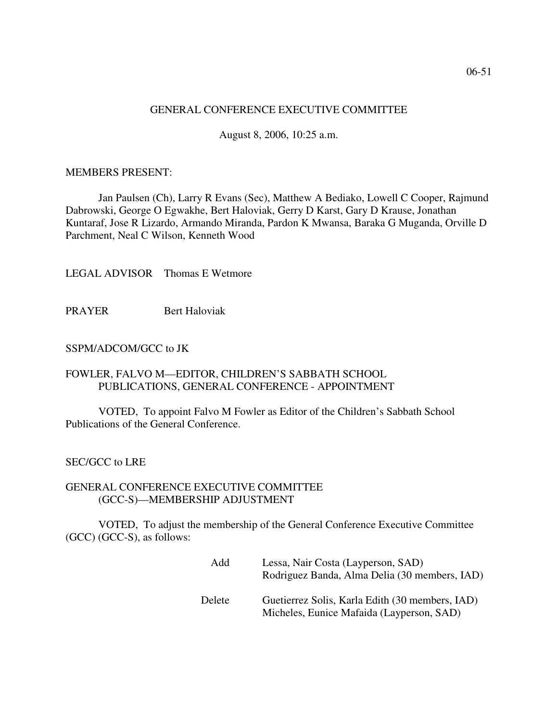# GENERAL CONFERENCE EXECUTIVE COMMITTEE

August 8, 2006, 10:25 a.m.

## MEMBERS PRESENT:

Jan Paulsen (Ch), Larry R Evans (Sec), Matthew A Bediako, Lowell C Cooper, Rajmund Dabrowski, George O Egwakhe, Bert Haloviak, Gerry D Karst, Gary D Krause, Jonathan Kuntaraf, Jose R Lizardo, Armando Miranda, Pardon K Mwansa, Baraka G Muganda, Orville D Parchment, Neal C Wilson, Kenneth Wood

LEGAL ADVISOR Thomas E Wetmore

PRAYER Bert Haloviak

## SSPM/ADCOM/GCC to JK

# FOWLER, FALVO M—EDITOR, CHILDREN'S SABBATH SCHOOL PUBLICATIONS, GENERAL CONFERENCE - APPOINTMENT

VOTED, To appoint Falvo M Fowler as Editor of the Children's Sabbath School Publications of the General Conference.

# SEC/GCC to LRE

### GENERAL CONFERENCE EXECUTIVE COMMITTEE (GCC-S)—MEMBERSHIP ADJUSTMENT

VOTED, To adjust the membership of the General Conference Executive Committee (GCC) (GCC-S), as follows:

| Add    | Lessa, Nair Costa (Layperson, SAD)<br>Rodriguez Banda, Alma Delia (30 members, IAD)          |
|--------|----------------------------------------------------------------------------------------------|
| Delete | Guetierrez Solis, Karla Edith (30 members, IAD)<br>Micheles, Eunice Mafaida (Layperson, SAD) |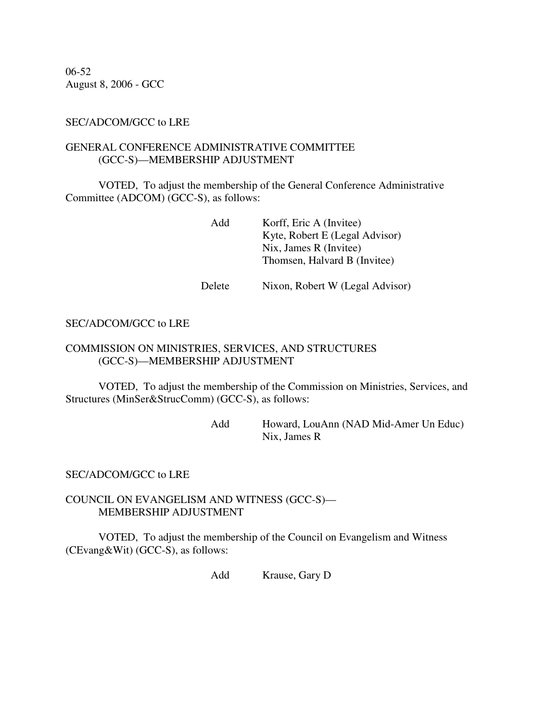06-52 August 8, 2006 - GCC

# SEC/ADCOM/GCC to LRE

# GENERAL CONFERENCE ADMINISTRATIVE COMMITTEE (GCC-S)—MEMBERSHIP ADJUSTMENT

VOTED, To adjust the membership of the General Conference Administrative Committee (ADCOM) (GCC-S), as follows:

> Add Korff, Eric A (Invitee) Kyte, Robert E (Legal Advisor) Nix, James R (Invitee) Thomsen, Halvard B (Invitee)

Delete Nixon, Robert W (Legal Advisor)

# SEC/ADCOM/GCC to LRE

# COMMISSION ON MINISTRIES, SERVICES, AND STRUCTURES (GCC-S)—MEMBERSHIP ADJUSTMENT

VOTED, To adjust the membership of the Commission on Ministries, Services, and Structures (MinSer&StrucComm) (GCC-S), as follows:

> Add Howard, LouAnn (NAD Mid-Amer Un Educ) Nix, James R

#### SEC/ADCOM/GCC to LRE

### COUNCIL ON EVANGELISM AND WITNESS (GCC-S)— MEMBERSHIP ADJUSTMENT

VOTED, To adjust the membership of the Council on Evangelism and Witness (CEvang&Wit) (GCC-S), as follows:

Add Krause, Gary D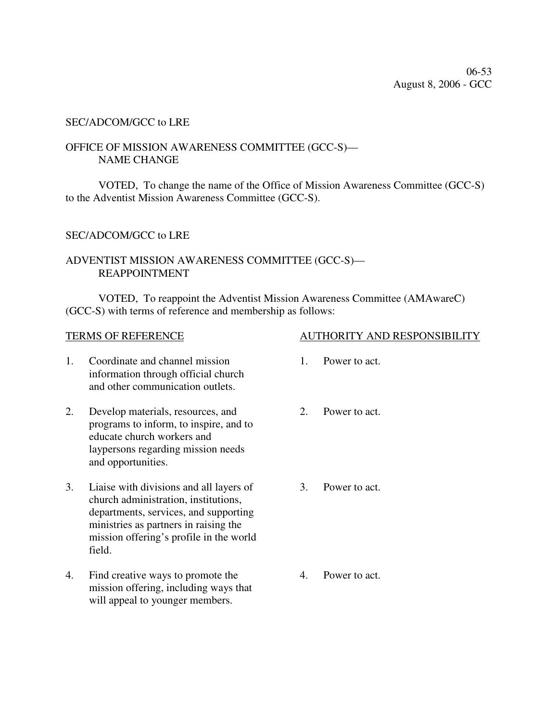# SEC/ADCOM/GCC to LRE

# OFFICE OF MISSION AWARENESS COMMITTEE (GCC-S)— NAME CHANGE

VOTED, To change the name of the Office of Mission Awareness Committee (GCC-S) to the Adventist Mission Awareness Committee (GCC-S).

### SEC/ADCOM/GCC to LRE

# ADVENTIST MISSION AWARENESS COMMITTEE (GCC-S)— REAPPOINTMENT

VOTED, To reappoint the Adventist Mission Awareness Committee (AMAwareC) (GCC-S) with terms of reference and membership as follows:

- 1. Coordinate and channel mission information through official church and other communication outlets.
- 2. Develop materials, resources, and programs to inform, to inspire, and to educate church workers and laypersons regarding mission needs and opportunities.
- 3. Liaise with divisions and all layers of church administration, institutions, departments, services, and supporting ministries as partners in raising the mission offering's profile in the world field.
- 4. Find creative ways to promote the mission offering, including ways that will appeal to younger members.
- TERMS OF REFERENCE AUTHORITY AND RESPONSIBILITY
	- 1. Power to act.
	- 2. Power to act.
	- 3. Power to act.

4. Power to act.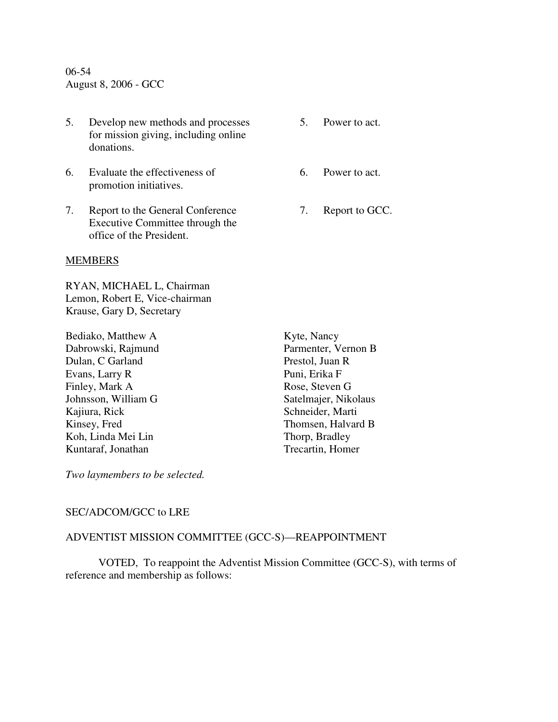06-54 August 8, 2006 - GCC

- 5. Develop new methods and processes for mission giving, including online donations.
- 6. Evaluate the effectiveness of promotion initiatives.
- 7. Report to the General Conference Executive Committee through the office of the President.

#### MEMBERS

RYAN, MICHAEL L, Chairman Lemon, Robert E, Vice-chairman Krause, Gary D, Secretary

Bediako, Matthew A Dabrowski, Rajmund Dulan, C Garland Evans, Larry R Finley, Mark A Johnsson, William G Kajiura, Rick Kinsey, Fred Koh, Linda Mei Lin Kuntaraf, Jonathan

Kyte, Nancy Parmenter, Vernon B Prestol, Juan R Puni, Erika F Rose, Steven G Satelmajer, Nikolaus Schneider, Marti Thomsen, Halvard B Thorp, Bradley Trecartin, Homer

*Two laymembers to be selected.* 

# SEC/ADCOM/GCC to LRE

## ADVENTIST MISSION COMMITTEE (GCC-S)—REAPPOINTMENT

VOTED, To reappoint the Adventist Mission Committee (GCC-S), with terms of reference and membership as follows:

- 5. Power to act.
- 6. Power to act.
- 7. Report to GCC.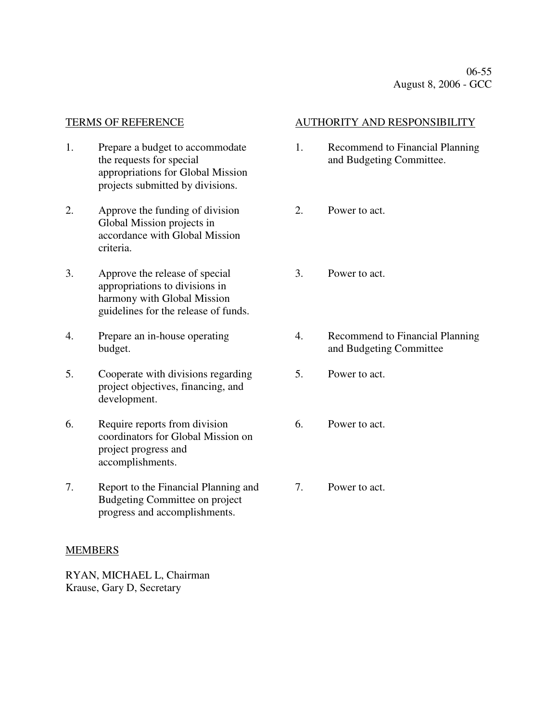- 1. Prepare a budget to accommodate the requests for special appropriations for Global Mission projects submitted by divisions.
- 2. Approve the funding of division Global Mission projects in accordance with Global Mission criteria.
- 3. Approve the release of special appropriations to divisions in harmony with Global Mission guidelines for the release of funds.
- 4. Prepare an in-house operating budget.
- 5. Cooperate with divisions regarding project objectives, financing, and development.
- 6. Require reports from division coordinators for Global Mission on project progress and accomplishments.
- 7. Report to the Financial Planning and Budgeting Committee on project progress and accomplishments.

# MEMBERS

RYAN, MICHAEL L, Chairman Krause, Gary D, Secretary

# TERMS OF REFERENCE AUTHORITY AND RESPONSIBILITY

- 1. Recommend to Financial Planning and Budgeting Committee.
- 2. Power to act.
- 3. Power to act.
- 4. Recommend to Financial Planning and Budgeting Committee
- 5. Power to act.
- 6. Power to act.
- 7. Power to act.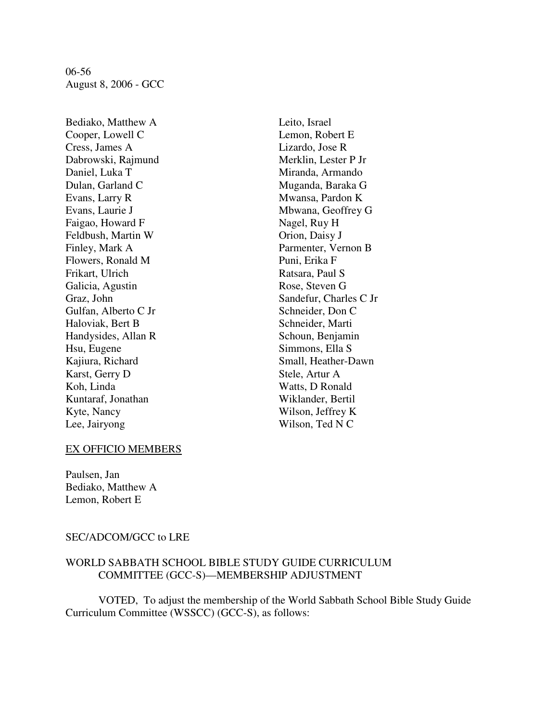06-56 August 8, 2006 - GCC

Bediako, Matthew A Cooper, Lowell C Cress, James A Dabrowski, Rajmund Daniel, Luka T Dulan, Garland C Evans, Larry R Evans, Laurie J Faigao, Howard F Feldbush, Martin W Finley, Mark A Flowers, Ronald M Frikart, Ulrich Galicia, Agustin Graz, John Gulfan, Alberto C Jr Haloviak, Bert B Handysides, Allan R Hsu, Eugene Kajiura, Richard Karst, Gerry D Koh, Linda Kuntaraf, Jonathan Kyte, Nancy Lee, Jairyong

Leito, Israel Lemon, Robert E Lizardo, Jose R Merklin, Lester P Jr Miranda, Armando Muganda, Baraka G Mwansa, Pardon K Mbwana, Geoffrey G Nagel, Ruy H Orion, Daisy J Parmenter, Vernon B Puni, Erika F Ratsara, Paul S Rose, Steven G Sandefur, Charles C Jr Schneider, Don C Schneider, Marti Schoun, Benjamin Simmons, Ella S Small, Heather-Dawn Stele, Artur A Watts, D Ronald Wiklander, Bertil Wilson, Jeffrey K Wilson, Ted N C

#### EX OFFICIO MEMBERS

Paulsen, Jan Bediako, Matthew A Lemon, Robert E

#### SEC/ADCOM/GCC to LRE

# WORLD SABBATH SCHOOL BIBLE STUDY GUIDE CURRICULUM COMMITTEE (GCC-S)—MEMBERSHIP ADJUSTMENT

VOTED, To adjust the membership of the World Sabbath School Bible Study Guide Curriculum Committee (WSSCC) (GCC-S), as follows: